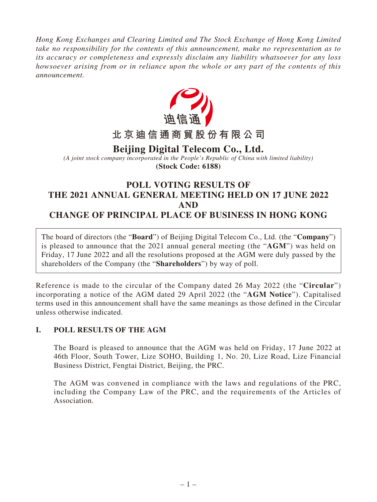*Hong Kong Exchanges and Clearing Limited and The Stock Exchange of Hong Kong Limited take no responsibility for the contents of this announcement, make no representation as to its accuracy or completeness and expressly disclaim any liability whatsoever for any loss howsoever arising from or in reliance upon the whole or any part of the contents of this announcement.*



# **Beijing Digital Telecom Co., Ltd.**

*(A joint stock company incorporated in the People's Republic of China with limited liability)* **(Stock Code: 6188)**

## **POLL VOTING RESULTS OF THE 2021 ANNUAL GENERAL MEETING HELD ON 17 JUNE 2022 AND CHANGE OF PRINCIPAL PLACE OF BUSINESS IN HONG KONG**

The board of directors (the "**Board**") of Beijing Digital Telecom Co., Ltd. (the "**Company**") is pleased to announce that the 2021 annual general meeting (the "**AGM**") was held on Friday, 17 June 2022 and all the resolutions proposed at the AGM were duly passed by the shareholders of the Company (the "**Shareholders**") by way of poll.

Reference is made to the circular of the Company dated 26 May 2022 (the "**Circular**") incorporating a notice of the AGM dated 29 April 2022 (the "**AGM Notice**"). Capitalised terms used in this announcement shall have the same meanings as those defined in the Circular unless otherwise indicated.

### **I. POLL RESULTS OF THE AGM**

The Board is pleased to announce that the AGM was held on Friday, 17 June 2022 at 46th Floor, South Tower, Lize SOHO, Building 1, No. 20, Lize Road, Lize Financial Business District, Fengtai District, Beijing, the PRC.

The AGM was convened in compliance with the laws and regulations of the PRC, including the Company Law of the PRC, and the requirements of the Articles of Association.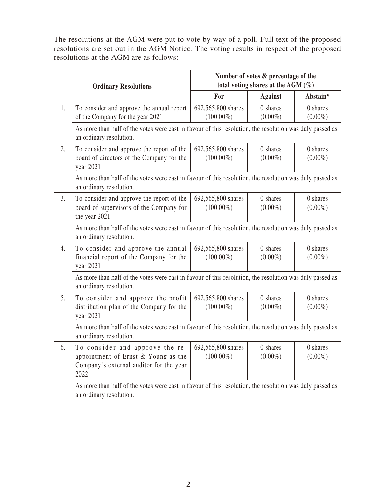The resolutions at the AGM were put to vote by way of a poll. Full text of the proposed resolutions are set out in the AGM Notice. The voting results in respect of the proposed resolutions at the AGM are as follows:

| <b>Ordinary Resolutions</b> |                                                                                                                                     | Number of votes & percentage of the<br>total voting shares at the AGM $(\%)$ |                |            |  |
|-----------------------------|-------------------------------------------------------------------------------------------------------------------------------------|------------------------------------------------------------------------------|----------------|------------|--|
|                             |                                                                                                                                     | For                                                                          | <b>Against</b> | Abstain*   |  |
| 1.                          | To consider and approve the annual report                                                                                           | 692,565,800 shares                                                           | 0 shares       | 0 shares   |  |
|                             | of the Company for the year 2021                                                                                                    | $(100.00\%)$                                                                 | $(0.00\%)$     | $(0.00\%)$ |  |
|                             | As more than half of the votes were cast in favour of this resolution, the resolution was duly passed as<br>an ordinary resolution. |                                                                              |                |            |  |
| 2.                          | To consider and approve the report of the                                                                                           | 692,565,800 shares                                                           | 0 shares       | 0 shares   |  |
|                             | board of directors of the Company for the<br>year 2021                                                                              | $(100.00\%)$                                                                 | $(0.00\%)$     | $(0.00\%)$ |  |
|                             | As more than half of the votes were cast in favour of this resolution, the resolution was duly passed as<br>an ordinary resolution. |                                                                              |                |            |  |
| 3.                          | To consider and approve the report of the                                                                                           | 692,565,800 shares                                                           | 0 shares       | 0 shares   |  |
|                             | board of supervisors of the Company for<br>the year 2021                                                                            | $(100.00\%)$                                                                 | $(0.00\%)$     | $(0.00\%)$ |  |
|                             | As more than half of the votes were cast in favour of this resolution, the resolution was duly passed as<br>an ordinary resolution. |                                                                              |                |            |  |
| 4.                          | To consider and approve the annual                                                                                                  | 692,565,800 shares                                                           | 0 shares       | 0 shares   |  |
|                             | financial report of the Company for the<br>year 2021                                                                                | $(100.00\%)$                                                                 | $(0.00\%)$     | $(0.00\%)$ |  |
|                             | As more than half of the votes were cast in favour of this resolution, the resolution was duly passed as<br>an ordinary resolution. |                                                                              |                |            |  |
| 5.                          | To consider and approve the profit                                                                                                  | 692,565,800 shares                                                           | 0 shares       | 0 shares   |  |
|                             | distribution plan of the Company for the<br>year 2021                                                                               | $(100.00\%)$                                                                 | $(0.00\%)$     | $(0.00\%)$ |  |
|                             | As more than half of the votes were cast in favour of this resolution, the resolution was duly passed as<br>an ordinary resolution. |                                                                              |                |            |  |
| 6.                          | To consider and approve the re-                                                                                                     | 692,565,800 shares                                                           | 0 shares       | 0 shares   |  |
|                             | appointment of Ernst & Young as the                                                                                                 | $(100.00\%)$                                                                 | $(0.00\%)$     | $(0.00\%)$ |  |
|                             | Company's external auditor for the year<br>2022                                                                                     |                                                                              |                |            |  |
|                             | As more than half of the votes were cast in favour of this resolution, the resolution was duly passed as<br>an ordinary resolution. |                                                                              |                |            |  |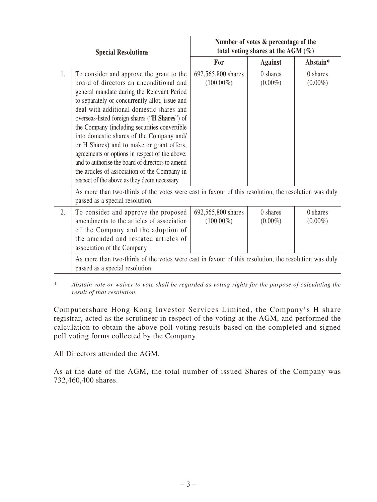| <b>Special Resolutions</b> |                                                                                                                                                                                                                                                                                                                                                                                                                                                                                                                                                                                                                                   | Number of votes & percentage of the<br>total voting shares at the AGM $(\%)$ |                          |                          |  |
|----------------------------|-----------------------------------------------------------------------------------------------------------------------------------------------------------------------------------------------------------------------------------------------------------------------------------------------------------------------------------------------------------------------------------------------------------------------------------------------------------------------------------------------------------------------------------------------------------------------------------------------------------------------------------|------------------------------------------------------------------------------|--------------------------|--------------------------|--|
|                            |                                                                                                                                                                                                                                                                                                                                                                                                                                                                                                                                                                                                                                   | For                                                                          | <b>Against</b>           | Abstain*                 |  |
| 1.                         | To consider and approve the grant to the<br>board of directors an unconditional and<br>general mandate during the Relevant Period<br>to separately or concurrently allot, issue and<br>deal with additional domestic shares and<br>overseas-listed foreign shares ("H Shares") of<br>the Company (including securities convertible<br>into domestic shares of the Company and/<br>or H Shares) and to make or grant offers,<br>agreements or options in respect of the above;<br>and to authorise the board of directors to amend<br>the articles of association of the Company in<br>respect of the above as they deem necessary | 692,565,800 shares<br>$(100.00\%)$                                           | $0$ shares<br>$(0.00\%)$ | $0$ shares<br>$(0.00\%)$ |  |
|                            | As more than two-thirds of the votes were cast in favour of this resolution, the resolution was duly<br>passed as a special resolution.                                                                                                                                                                                                                                                                                                                                                                                                                                                                                           |                                                                              |                          |                          |  |
| 2.                         | To consider and approve the proposed<br>amendments to the articles of association<br>of the Company and the adoption of<br>the amended and restated articles of<br>association of the Company                                                                                                                                                                                                                                                                                                                                                                                                                                     | 692,565,800 shares<br>$(100.00\%)$                                           | 0 shares<br>$(0.00\%)$   | 0 shares<br>$(0.00\%)$   |  |
|                            | As more than two-thirds of the votes were cast in favour of this resolution, the resolution was duly<br>passed as a special resolution.                                                                                                                                                                                                                                                                                                                                                                                                                                                                                           |                                                                              |                          |                          |  |

\* *Abstain vote or waiver to vote shall be regarded as voting rights for the purpose of calculating the result of that resolution.*

Computershare Hong Kong Investor Services Limited, the Company's H share registrar, acted as the scrutineer in respect of the voting at the AGM, and performed the calculation to obtain the above poll voting results based on the completed and signed poll voting forms collected by the Company.

All Directors attended the AGM.

As at the date of the AGM, the total number of issued Shares of the Company was 732,460,400 shares.